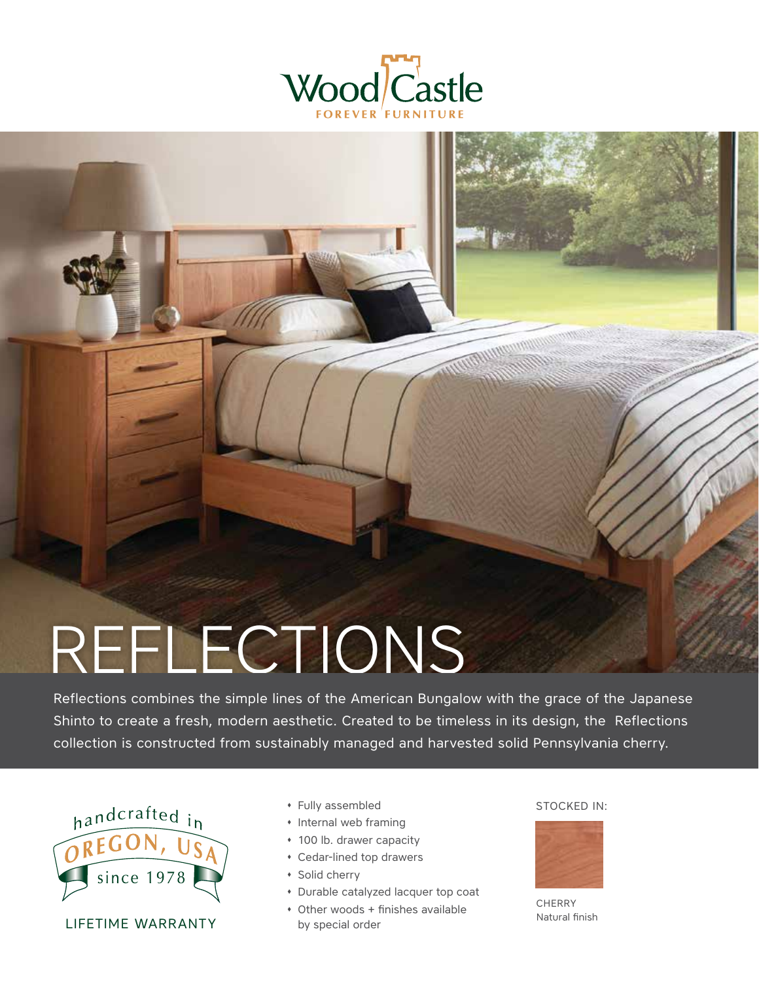

# REFLECTIONS

Reflections combines the simple lines of the American Bungalow with the grace of the Japanese Shinto to create a fresh, modern aesthetic. Created to be timeless in its design, the Reflections collection is constructed from sustainably managed and harvested solid Pennsylvania cherry.



LIFETIME WARRANTY

- $\bullet$  Fully assembled STOCKED IN:
- � Internal web framing
- � 100 lb. drawer capacity
- � Cedar-lined top drawers
- � Solid cherry
- � Durable catalyzed lacquer top coat
- � Other woods + finishes available by special order

**WAY MY WAY TO BE THE WAY** 



**CHERRY** Natural finish